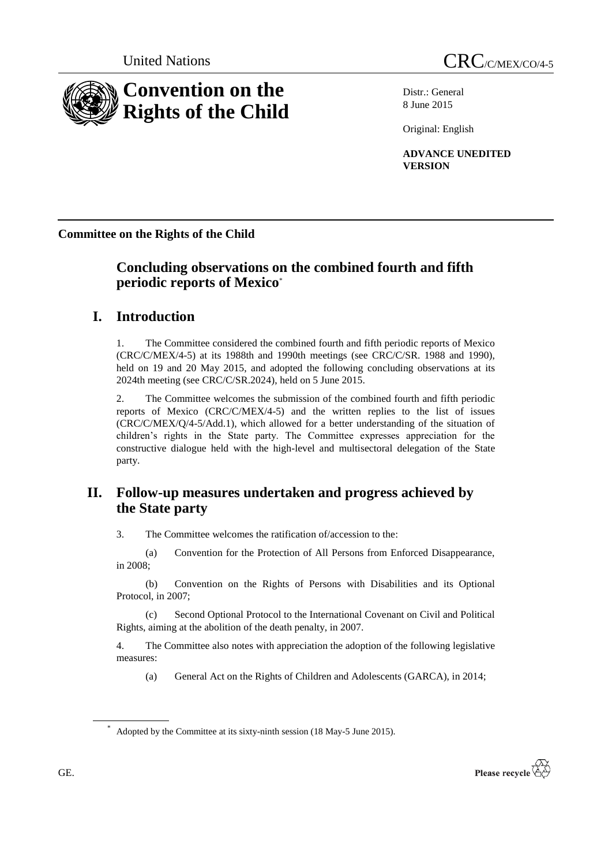

Distr.: General 8 June 2015

Original: English

**ADVANCE UNEDITED VERSION**

**Committee on the Rights of the Child**

# **Concluding observations on the combined fourth and fifth periodic reports of Mexico**\*

# **I. Introduction**

1. The Committee considered the combined fourth and fifth periodic reports of Mexico (CRC/C/MEX/4-5) at its 1988th and 1990th meetings (see CRC/C/SR. 1988 and 1990), held on 19 and 20 May 2015, and adopted the following concluding observations at its 2024th meeting (see CRC/C/SR.2024), held on 5 June 2015.

2. The Committee welcomes the submission of the combined fourth and fifth periodic reports of Mexico (CRC/C/MEX/4-5) and the written replies to the list of issues (CRC/C/MEX/Q/4-5/Add.1), which allowed for a better understanding of the situation of children's rights in the State party. The Committee expresses appreciation for the constructive dialogue held with the high-level and multisectoral delegation of the State party.

# **II. Follow-up measures undertaken and progress achieved by the State party**

3. The Committee welcomes the ratification of/accession to the:

(a) Convention for the Protection of All Persons from Enforced Disappearance, in 2008;

(b) Convention on the Rights of Persons with Disabilities and its Optional Protocol, in 2007;

(c) Second Optional Protocol to the International Covenant on Civil and Political Rights, aiming at the abolition of the death penalty, in 2007.

4. The Committee also notes with appreciation the adoption of the following legislative measures:

(a) General Act on the Rights of Children and Adolescents (GARCA), in 2014;



Adopted by the Committee at its sixty-ninth session (18 May-5 June 2015).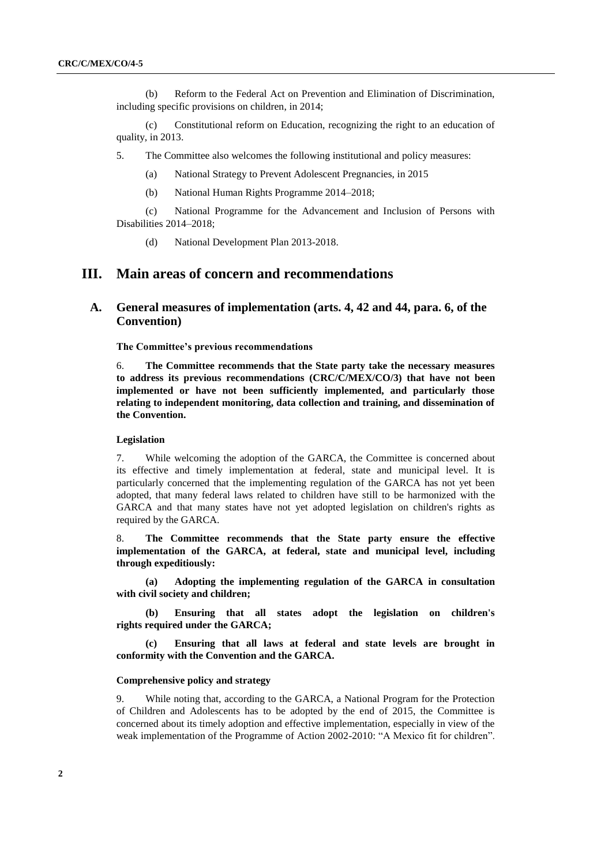(b) Reform to the Federal Act on Prevention and Elimination of Discrimination, including specific provisions on children, in 2014;

(c) Constitutional reform on Education, recognizing the right to an education of quality, in 2013.

5. The Committee also welcomes the following institutional and policy measures:

- (a) National Strategy to Prevent Adolescent Pregnancies, in 2015
- (b) National Human Rights Programme 2014–2018;

(c) National Programme for the Advancement and Inclusion of Persons with Disabilities 2014–2018;

(d) National Development Plan 2013-2018.

## **III. Main areas of concern and recommendations**

## **A. General measures of implementation (arts. 4, 42 and 44, para. 6, of the Convention)**

**The Committee's previous recommendations**

6. **The Committee recommends that the State party take the necessary measures to address its previous recommendations (CRC/C/MEX/CO/3) that have not been implemented or have not been sufficiently implemented, and particularly those relating to independent monitoring, data collection and training, and dissemination of the Convention.**

#### **Legislation**

7. While welcoming the adoption of the GARCA, the Committee is concerned about its effective and timely implementation at federal, state and municipal level. It is particularly concerned that the implementing regulation of the GARCA has not yet been adopted, that many federal laws related to children have still to be harmonized with the GARCA and that many states have not yet adopted legislation on children's rights as required by the GARCA.

8. **The Committee recommends that the State party ensure the effective implementation of the GARCA, at federal, state and municipal level, including through expeditiously:**

**(a) Adopting the implementing regulation of the GARCA in consultation with civil society and children;**

**(b) Ensuring that all states adopt the legislation on children's rights required under the GARCA;**

**(c) Ensuring that all laws at federal and state levels are brought in conformity with the Convention and the GARCA.**

#### **Comprehensive policy and strategy**

9. While noting that, according to the GARCA, a National Program for the Protection of Children and Adolescents has to be adopted by the end of 2015, the Committee is concerned about its timely adoption and effective implementation, especially in view of the weak implementation of the Programme of Action 2002-2010: "A Mexico fit for children".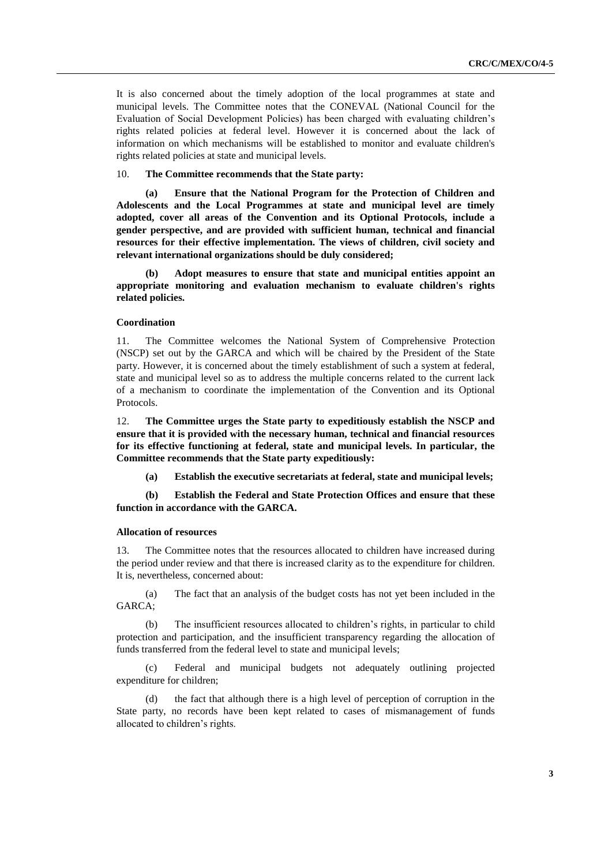It is also concerned about the timely adoption of the local programmes at state and municipal levels. The Committee notes that the CONEVAL (National Council for the Evaluation of Social Development Policies) has been charged with evaluating children's rights related policies at federal level. However it is concerned about the lack of information on which mechanisms will be established to monitor and evaluate children's rights related policies at state and municipal levels.

10. **The Committee recommends that the State party:**

**(a) Ensure that the National Program for the Protection of Children and Adolescents and the Local Programmes at state and municipal level are timely adopted, cover all areas of the Convention and its Optional Protocols, include a gender perspective, and are provided with sufficient human, technical and financial resources for their effective implementation. The views of children, civil society and relevant international organizations should be duly considered;** 

**(b) Adopt measures to ensure that state and municipal entities appoint an appropriate monitoring and evaluation mechanism to evaluate children's rights related policies.**

### **Coordination**

11. The Committee welcomes the National System of Comprehensive Protection (NSCP) set out by the GARCA and which will be chaired by the President of the State party. However, it is concerned about the timely establishment of such a system at federal, state and municipal level so as to address the multiple concerns related to the current lack of a mechanism to coordinate the implementation of the Convention and its Optional Protocols.

12. **The Committee urges the State party to expeditiously establish the NSCP and ensure that it is provided with the necessary human, technical and financial resources for its effective functioning at federal, state and municipal levels. In particular, the Committee recommends that the State party expeditiously:**

**(a) Establish the executive secretariats at federal, state and municipal levels;** 

**(b) Establish the Federal and State Protection Offices and ensure that these function in accordance with the GARCA.**

#### **Allocation of resources**

13. The Committee notes that the resources allocated to children have increased during the period under review and that there is increased clarity as to the expenditure for children. It is, nevertheless, concerned about:

(a) The fact that an analysis of the budget costs has not yet been included in the GARCA;

(b) The insufficient resources allocated to children's rights, in particular to child protection and participation, and the insufficient transparency regarding the allocation of funds transferred from the federal level to state and municipal levels;

(c) Federal and municipal budgets not adequately outlining projected expenditure for children;

(d) the fact that although there is a high level of perception of corruption in the State party, no records have been kept related to cases of mismanagement of funds allocated to children's rights.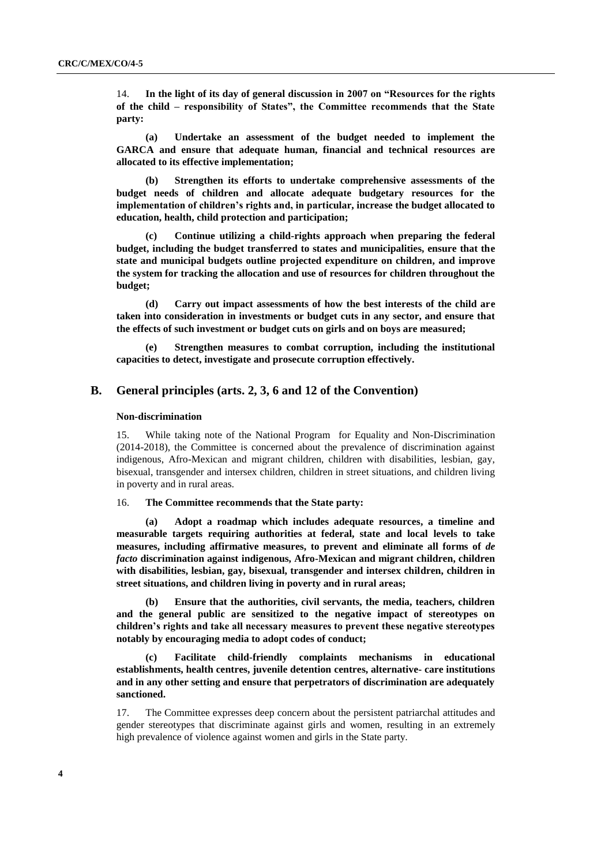14. **In the light of its day of general discussion in 2007 on "Resources for the rights of the child – responsibility of States", the Committee recommends that the State party:**

**(a) Undertake an assessment of the budget needed to implement the GARCA and ensure that adequate human, financial and technical resources are allocated to its effective implementation;** 

**(b) Strengthen its efforts to undertake comprehensive assessments of the budget needs of children and allocate adequate budgetary resources for the implementation of children's rights and, in particular, increase the budget allocated to education, health, child protection and participation;**

**(c) Continue utilizing a child-rights approach when preparing the federal budget, including the budget transferred to states and municipalities, ensure that the state and municipal budgets outline projected expenditure on children, and improve the system for tracking the allocation and use of resources for children throughout the budget;**

**(d) Carry out impact assessments of how the best interests of the child are taken into consideration in investments or budget cuts in any sector, and ensure that the effects of such investment or budget cuts on girls and on boys are measured;**

**(e) Strengthen measures to combat corruption, including the institutional capacities to detect, investigate and prosecute corruption effectively.**

## **B. General principles (arts. 2, 3, 6 and 12 of the Convention)**

#### **Non-discrimination**

15. While taking note of the National Program for Equality and Non-Discrimination (2014-2018), the Committee is concerned about the prevalence of discrimination against indigenous, Afro-Mexican and migrant children, children with disabilities, lesbian, gay, bisexual, transgender and intersex children, children in street situations, and children living in poverty and in rural areas.

16. **The Committee recommends that the State party:**

**(a) Adopt a roadmap which includes adequate resources, a timeline and measurable targets requiring authorities at federal, state and local levels to take measures, including affirmative measures, to prevent and eliminate all forms of** *de facto* **discrimination against indigenous, Afro-Mexican and migrant children, children with disabilities, lesbian, gay, bisexual, transgender and intersex children, children in street situations, and children living in poverty and in rural areas;** 

**(b) Ensure that the authorities, civil servants, the media, teachers, children and the general public are sensitized to the negative impact of stereotypes on children's rights and take all necessary measures to prevent these negative stereotypes notably by encouraging media to adopt codes of conduct;**

**(c) Facilitate child-friendly complaints mechanisms in educational establishments, health centres, juvenile detention centres, alternative- care institutions and in any other setting and ensure that perpetrators of discrimination are adequately sanctioned.**

17. The Committee expresses deep concern about the persistent patriarchal attitudes and gender stereotypes that discriminate against girls and women, resulting in an extremely high prevalence of violence against women and girls in the State party.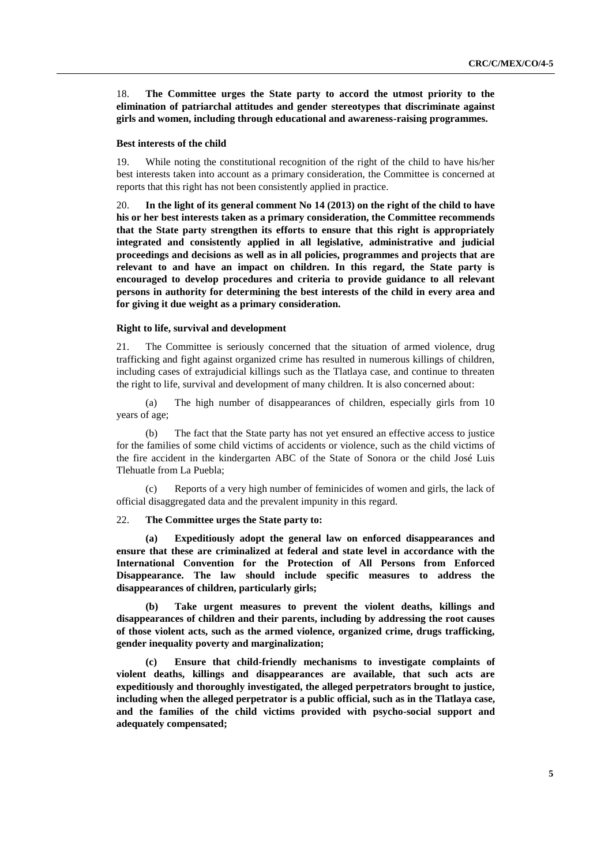18. **The Committee urges the State party to accord the utmost priority to the elimination of patriarchal attitudes and gender stereotypes that discriminate against girls and women, including through educational and awareness-raising programmes.**

#### **Best interests of the child**

19. While noting the constitutional recognition of the right of the child to have his/her best interests taken into account as a primary consideration, the Committee is concerned at reports that this right has not been consistently applied in practice.

20. **In the light of its general comment No 14 (2013) on the right of the child to have his or her best interests taken as a primary consideration, the Committee recommends that the State party strengthen its efforts to ensure that this right is appropriately integrated and consistently applied in all legislative, administrative and judicial proceedings and decisions as well as in all policies, programmes and projects that are relevant to and have an impact on children. In this regard, the State party is encouraged to develop procedures and criteria to provide guidance to all relevant persons in authority for determining the best interests of the child in every area and for giving it due weight as a primary consideration.**

#### **Right to life, survival and development**

21. The Committee is seriously concerned that the situation of armed violence, drug trafficking and fight against organized crime has resulted in numerous killings of children, including cases of extrajudicial killings such as the Tlatlaya case, and continue to threaten the right to life, survival and development of many children. It is also concerned about:

(a) The high number of disappearances of children, especially girls from 10 years of age;

(b) The fact that the State party has not yet ensured an effective access to justice for the families of some child victims of accidents or violence, such as the child victims of the fire accident in the kindergarten ABC of the State of Sonora or the child José Luis Tlehuatle from La Puebla;

(c) Reports of a very high number of feminicides of women and girls, the lack of official disaggregated data and the prevalent impunity in this regard.

### 22. **The Committee urges the State party to:**

**(a) Expeditiously adopt the general law on enforced disappearances and ensure that these are criminalized at federal and state level in accordance with the International Convention for the Protection of All Persons from Enforced Disappearance. The law should include specific measures to address the disappearances of children, particularly girls;** 

**(b) Take urgent measures to prevent the violent deaths, killings and disappearances of children and their parents, including by addressing the root causes of those violent acts, such as the armed violence, organized crime, drugs trafficking, gender inequality poverty and marginalization;** 

**(c) Ensure that child-friendly mechanisms to investigate complaints of violent deaths, killings and disappearances are available, that such acts are expeditiously and thoroughly investigated, the alleged perpetrators brought to justice, including when the alleged perpetrator is a public official, such as in the Tlatlaya case, and the families of the child victims provided with psycho-social support and adequately compensated;**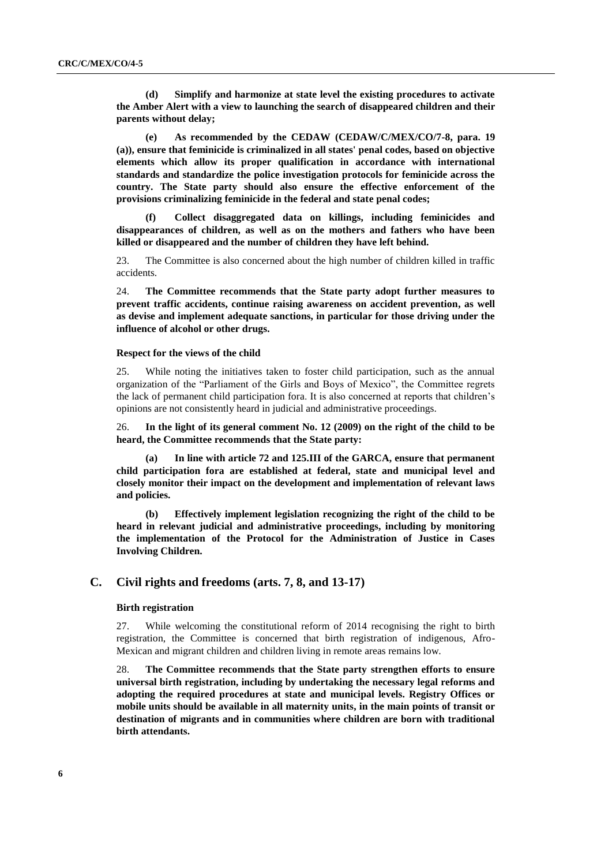**(d) Simplify and harmonize at state level the existing procedures to activate the Amber Alert with a view to launching the search of disappeared children and their parents without delay;**

**(e) As recommended by the CEDAW (CEDAW/C/MEX/CO/7-8, para. 19 (a)), ensure that feminicide is criminalized in all states' penal codes, based on objective elements which allow its proper qualification in accordance with international standards and standardize the police investigation protocols for feminicide across the country. The State party should also ensure the effective enforcement of the provisions criminalizing feminicide in the federal and state penal codes;** 

**(f) Collect disaggregated data on killings, including feminicides and disappearances of children, as well as on the mothers and fathers who have been killed or disappeared and the number of children they have left behind.** 

23. The Committee is also concerned about the high number of children killed in traffic accidents.

24. **The Committee recommends that the State party adopt further measures to prevent traffic accidents, continue raising awareness on accident prevention, as well as devise and implement adequate sanctions, in particular for those driving under the influence of alcohol or other drugs.**

#### **Respect for the views of the child**

25. While noting the initiatives taken to foster child participation, such as the annual organization of the "Parliament of the Girls and Boys of Mexico", the Committee regrets the lack of permanent child participation fora. It is also concerned at reports that children's opinions are not consistently heard in judicial and administrative proceedings.

26. **In the light of its general comment No. 12 (2009) on the right of the child to be heard, the Committee recommends that the State party:** 

**(a) In line with article 72 and 125.III of the GARCA, ensure that permanent child participation fora are established at federal, state and municipal level and closely monitor their impact on the development and implementation of relevant laws and policies.**

**(b) Effectively implement legislation recognizing the right of the child to be heard in relevant judicial and administrative proceedings, including by monitoring the implementation of the Protocol for the Administration of Justice in Cases Involving Children.**

## **C. Civil rights and freedoms (arts. 7, 8, and 13-17)**

## **Birth registration**

27. While welcoming the constitutional reform of 2014 recognising the right to birth registration, the Committee is concerned that birth registration of indigenous, Afro-Mexican and migrant children and children living in remote areas remains low.

28. **The Committee recommends that the State party strengthen efforts to ensure universal birth registration, including by undertaking the necessary legal reforms and adopting the required procedures at state and municipal levels. Registry Offices or mobile units should be available in all maternity units, in the main points of transit or destination of migrants and in communities where children are born with traditional birth attendants.**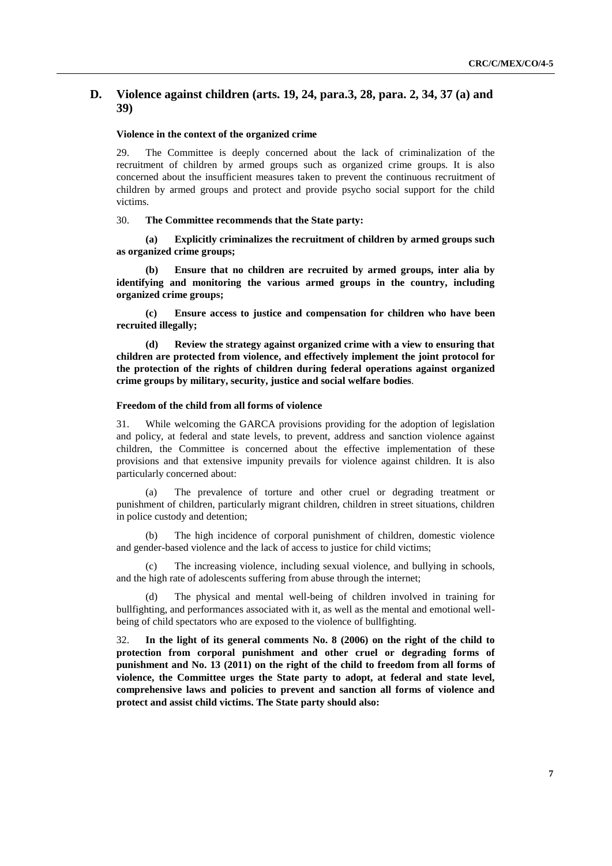## **D. Violence against children (arts. 19, 24, para.3, 28, para. 2, 34, 37 (a) and 39)**

## **Violence in the context of the organized crime**

29. The Committee is deeply concerned about the lack of criminalization of the recruitment of children by armed groups such as organized crime groups. It is also concerned about the insufficient measures taken to prevent the continuous recruitment of children by armed groups and protect and provide psycho social support for the child victims.

30. **The Committee recommends that the State party:** 

**(a) Explicitly criminalizes the recruitment of children by armed groups such as organized crime groups;**

**(b) Ensure that no children are recruited by armed groups, inter alia by identifying and monitoring the various armed groups in the country, including organized crime groups;**

**(c) Ensure access to justice and compensation for children who have been recruited illegally;** 

**(d) Review the strategy against organized crime with a view to ensuring that children are protected from violence, and effectively implement the joint protocol for the protection of the rights of children during federal operations against organized crime groups by military, security, justice and social welfare bodies**.

### **Freedom of the child from all forms of violence**

31. While welcoming the GARCA provisions providing for the adoption of legislation and policy, at federal and state levels, to prevent, address and sanction violence against children, the Committee is concerned about the effective implementation of these provisions and that extensive impunity prevails for violence against children. It is also particularly concerned about:

(a) The prevalence of torture and other cruel or degrading treatment or punishment of children, particularly migrant children, children in street situations, children in police custody and detention;

(b) The high incidence of corporal punishment of children, domestic violence and gender-based violence and the lack of access to justice for child victims;

(c) The increasing violence, including sexual violence, and bullying in schools, and the high rate of adolescents suffering from abuse through the internet;

The physical and mental well-being of children involved in training for bullfighting, and performances associated with it, as well as the mental and emotional wellbeing of child spectators who are exposed to the violence of bullfighting.

32. **In the light of its general comments No. 8 (2006) on the right of the child to protection from corporal punishment and other cruel or degrading forms of punishment and No. 13 (2011) on the right of the child to freedom from all forms of violence, the Committee urges the State party to adopt, at federal and state level, comprehensive laws and policies to prevent and sanction all forms of violence and protect and assist child victims. The State party should also:**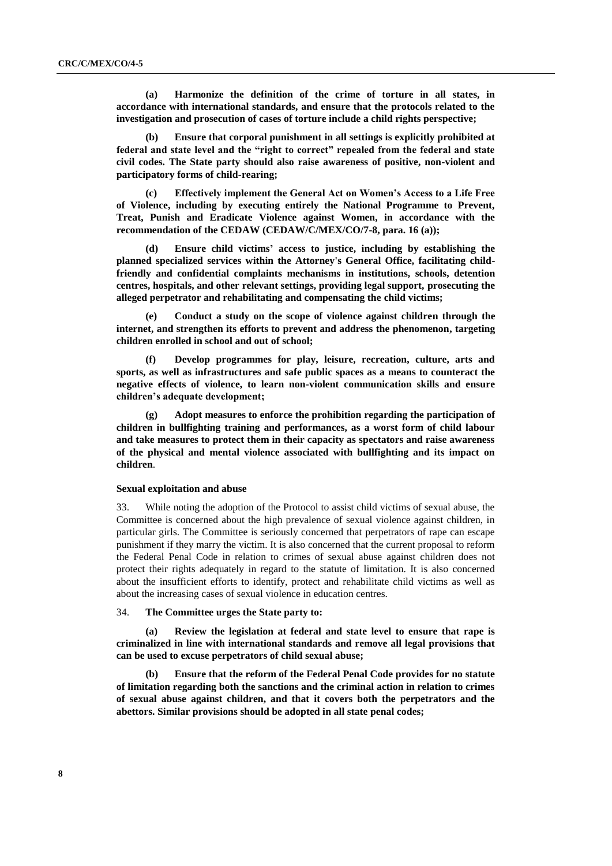**(a) Harmonize the definition of the crime of torture in all states, in accordance with international standards, and ensure that the protocols related to the investigation and prosecution of cases of torture include a child rights perspective;**

**(b) Ensure that corporal punishment in all settings is explicitly prohibited at federal and state level and the "right to correct" repealed from the federal and state civil codes. The State party should also raise awareness of positive, non-violent and participatory forms of child-rearing;**

**(c) Effectively implement the General Act on Women's Access to a Life Free of Violence, including by executing entirely the National Programme to Prevent, Treat, Punish and Eradicate Violence against Women, in accordance with the recommendation of the CEDAW (CEDAW/C/MEX/CO/7-8, para. 16 (a));** 

**(d) Ensure child victims' access to justice, including by establishing the planned specialized services within the Attorney's General Office, facilitating childfriendly and confidential complaints mechanisms in institutions, schools, detention centres, hospitals, and other relevant settings, providing legal support, prosecuting the alleged perpetrator and rehabilitating and compensating the child victims;**

**(e) Conduct a study on the scope of violence against children through the internet, and strengthen its efforts to prevent and address the phenomenon, targeting children enrolled in school and out of school;** 

**(f) Develop programmes for play, leisure, recreation, culture, arts and sports, as well as infrastructures and safe public spaces as a means to counteract the negative effects of violence, to learn non-violent communication skills and ensure children's adequate development;** 

**(g) Adopt measures to enforce the prohibition regarding the participation of children in bullfighting training and performances, as a worst form of child labour and take measures to protect them in their capacity as spectators and raise awareness of the physical and mental violence associated with bullfighting and its impact on children**.

### **Sexual exploitation and abuse**

33. While noting the adoption of the Protocol to assist child victims of sexual abuse, the Committee is concerned about the high prevalence of sexual violence against children, in particular girls. The Committee is seriously concerned that perpetrators of rape can escape punishment if they marry the victim. It is also concerned that the current proposal to reform the Federal Penal Code in relation to crimes of sexual abuse against children does not protect their rights adequately in regard to the statute of limitation. It is also concerned about the insufficient efforts to identify, protect and rehabilitate child victims as well as about the increasing cases of sexual violence in education centres.

34. **The Committee urges the State party to:**

**(a) Review the legislation at federal and state level to ensure that rape is criminalized in line with international standards and remove all legal provisions that can be used to excuse perpetrators of child sexual abuse;** 

**(b) Ensure that the reform of the Federal Penal Code provides for no statute of limitation regarding both the sanctions and the criminal action in relation to crimes of sexual abuse against children, and that it covers both the perpetrators and the abettors. Similar provisions should be adopted in all state penal codes;**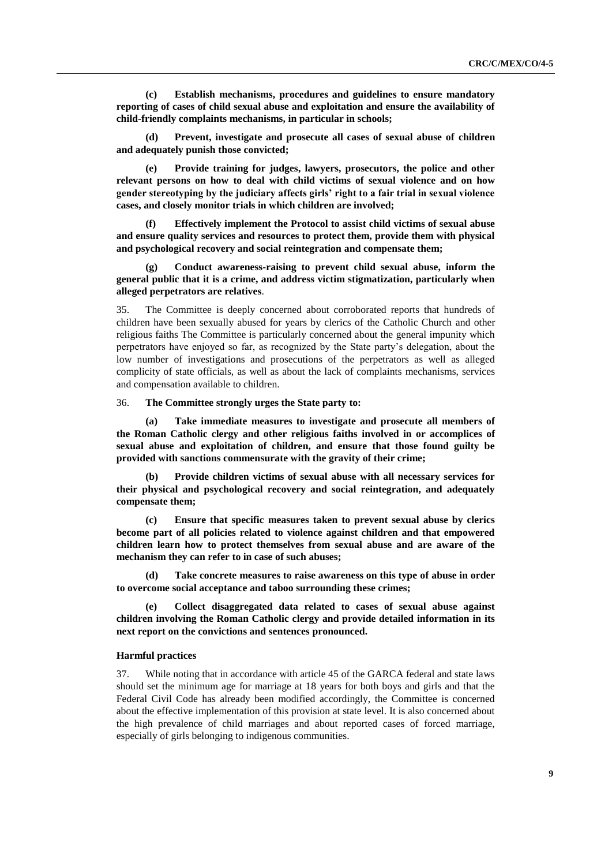**(c) Establish mechanisms, procedures and guidelines to ensure mandatory reporting of cases of child sexual abuse and exploitation and ensure the availability of child-friendly complaints mechanisms, in particular in schools;** 

**(d) Prevent, investigate and prosecute all cases of sexual abuse of children and adequately punish those convicted;**

**(e) Provide training for judges, lawyers, prosecutors, the police and other relevant persons on how to deal with child victims of sexual violence and on how gender stereotyping by the judiciary affects girls' right to a fair trial in sexual violence cases, and closely monitor trials in which children are involved;** 

**(f) Effectively implement the Protocol to assist child victims of sexual abuse and ensure quality services and resources to protect them, provide them with physical and psychological recovery and social reintegration and compensate them;**

**(g) Conduct awareness-raising to prevent child sexual abuse, inform the general public that it is a crime, and address victim stigmatization, particularly when alleged perpetrators are relatives**.

35. The Committee is deeply concerned about corroborated reports that hundreds of children have been sexually abused for years by clerics of the Catholic Church and other religious faiths The Committee is particularly concerned about the general impunity which perpetrators have enjoyed so far, as recognized by the State party's delegation, about the low number of investigations and prosecutions of the perpetrators as well as alleged complicity of state officials, as well as about the lack of complaints mechanisms, services and compensation available to children.

#### 36. **The Committee strongly urges the State party to:**

**(a) Take immediate measures to investigate and prosecute all members of the Roman Catholic clergy and other religious faiths involved in or accomplices of sexual abuse and exploitation of children, and ensure that those found guilty be provided with sanctions commensurate with the gravity of their crime;** 

**(b) Provide children victims of sexual abuse with all necessary services for their physical and psychological recovery and social reintegration, and adequately compensate them;**

**(c) Ensure that specific measures taken to prevent sexual abuse by clerics become part of all policies related to violence against children and that empowered children learn how to protect themselves from sexual abuse and are aware of the mechanism they can refer to in case of such abuses;** 

**(d) Take concrete measures to raise awareness on this type of abuse in order to overcome social acceptance and taboo surrounding these crimes;**

**(e) Collect disaggregated data related to cases of sexual abuse against children involving the Roman Catholic clergy and provide detailed information in its next report on the convictions and sentences pronounced.** 

#### **Harmful practices**

37. While noting that in accordance with article 45 of the GARCA federal and state laws should set the minimum age for marriage at 18 years for both boys and girls and that the Federal Civil Code has already been modified accordingly, the Committee is concerned about the effective implementation of this provision at state level. It is also concerned about the high prevalence of child marriages and about reported cases of forced marriage, especially of girls belonging to indigenous communities.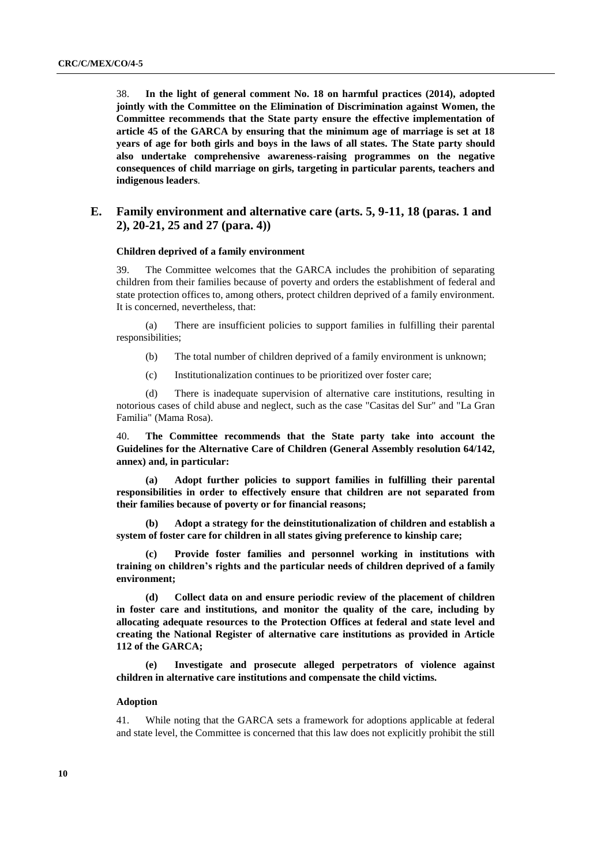38. **In the light of general comment No. 18 on harmful practices (2014), adopted jointly with the Committee on the Elimination of Discrimination against Women, the Committee recommends that the State party ensure the effective implementation of article 45 of the GARCA by ensuring that the minimum age of marriage is set at 18 years of age for both girls and boys in the laws of all states. The State party should also undertake comprehensive awareness-raising programmes on the negative consequences of child marriage on girls, targeting in particular parents, teachers and indigenous leaders**.

## **E. Family environment and alternative care (arts. 5, 9-11, 18 (paras. 1 and 2), 20-21, 25 and 27 (para. 4))**

#### **Children deprived of a family environment**

39. The Committee welcomes that the GARCA includes the prohibition of separating children from their families because of poverty and orders the establishment of federal and state protection offices to, among others, protect children deprived of a family environment. It is concerned, nevertheless, that:

(a) There are insufficient policies to support families in fulfilling their parental responsibilities;

- (b) The total number of children deprived of a family environment is unknown;
- (c) Institutionalization continues to be prioritized over foster care;

(d) There is inadequate supervision of alternative care institutions, resulting in notorious cases of child abuse and neglect, such as the case "Casitas del Sur" and "La Gran Familia" (Mama Rosa).

40. **The Committee recommends that the State party take into account the Guidelines for the Alternative Care of Children (General Assembly resolution 64/142, annex) and, in particular:**

**(a) Adopt further policies to support families in fulfilling their parental responsibilities in order to effectively ensure that children are not separated from their families because of poverty or for financial reasons;**

**(b) Adopt a strategy for the deinstitutionalization of children and establish a system of foster care for children in all states giving preference to kinship care;** 

**(c) Provide foster families and personnel working in institutions with training on children's rights and the particular needs of children deprived of a family environment;** 

**(d) Collect data on and ensure periodic review of the placement of children in foster care and institutions, and monitor the quality of the care, including by allocating adequate resources to the Protection Offices at federal and state level and creating the National Register of alternative care institutions as provided in Article 112 of the GARCA;**

**(e) Investigate and prosecute alleged perpetrators of violence against children in alternative care institutions and compensate the child victims.** 

## **Adoption**

41. While noting that the GARCA sets a framework for adoptions applicable at federal and state level, the Committee is concerned that this law does not explicitly prohibit the still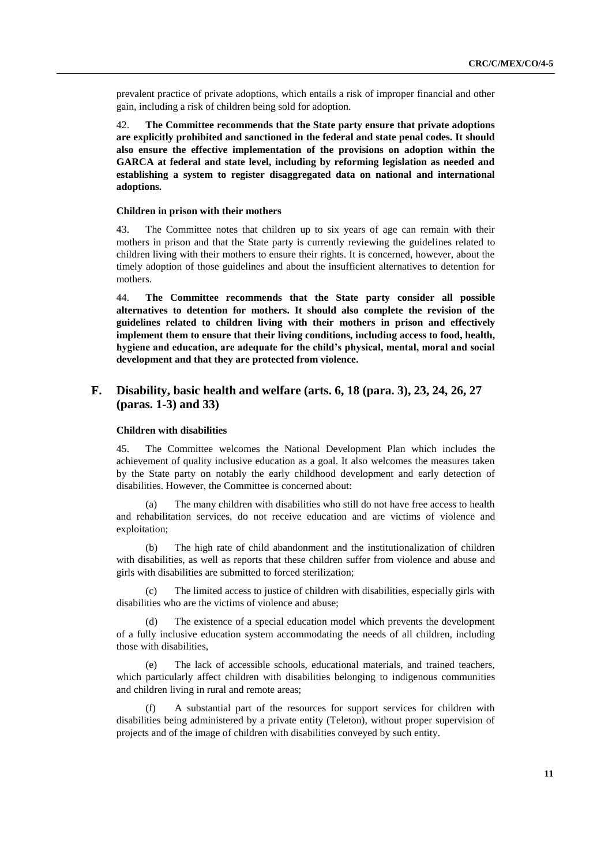prevalent practice of private adoptions, which entails a risk of improper financial and other gain, including a risk of children being sold for adoption.

42. **The Committee recommends that the State party ensure that private adoptions are explicitly prohibited and sanctioned in the federal and state penal codes. It should also ensure the effective implementation of the provisions on adoption within the GARCA at federal and state level, including by reforming legislation as needed and establishing a system to register disaggregated data on national and international adoptions.**

### **Children in prison with their mothers**

43. The Committee notes that children up to six years of age can remain with their mothers in prison and that the State party is currently reviewing the guidelines related to children living with their mothers to ensure their rights. It is concerned, however, about the timely adoption of those guidelines and about the insufficient alternatives to detention for mothers.

44. **The Committee recommends that the State party consider all possible alternatives to detention for mothers. It should also complete the revision of the guidelines related to children living with their mothers in prison and effectively implement them to ensure that their living conditions, including access to food, health, hygiene and education, are adequate for the child's physical, mental, moral and social development and that they are protected from violence.**

## **F. Disability, basic health and welfare (arts. 6, 18 (para. 3), 23, 24, 26, 27 (paras. 1-3) and 33)**

#### **Children with disabilities**

45. The Committee welcomes the National Development Plan which includes the achievement of quality inclusive education as a goal. It also welcomes the measures taken by the State party on notably the early childhood development and early detection of disabilities. However, the Committee is concerned about:

(a) The many children with disabilities who still do not have free access to health and rehabilitation services, do not receive education and are victims of violence and exploitation;

The high rate of child abandonment and the institutionalization of children with disabilities, as well as reports that these children suffer from violence and abuse and girls with disabilities are submitted to forced sterilization;

(c) The limited access to justice of children with disabilities, especially girls with disabilities who are the victims of violence and abuse;

(d) The existence of a special education model which prevents the development of a fully inclusive education system accommodating the needs of all children, including those with disabilities,

(e) The lack of accessible schools, educational materials, and trained teachers, which particularly affect children with disabilities belonging to indigenous communities and children living in rural and remote areas;

(f) A substantial part of the resources for support services for children with disabilities being administered by a private entity (Teleton), without proper supervision of projects and of the image of children with disabilities conveyed by such entity.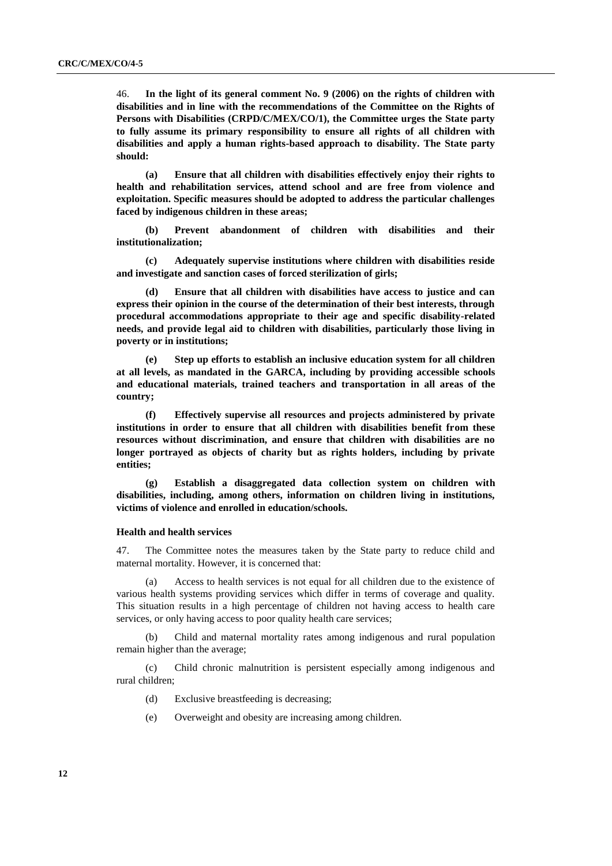46. **In the light of its general comment No. 9 (2006) on the rights of children with disabilities and in line with the recommendations of the Committee on the Rights of Persons with Disabilities (CRPD/C/MEX/CO/1), the Committee urges the State party to fully assume its primary responsibility to ensure all rights of all children with disabilities and apply a human rights-based approach to disability. The State party should:**

**(a) Ensure that all children with disabilities effectively enjoy their rights to health and rehabilitation services, attend school and are free from violence and exploitation. Specific measures should be adopted to address the particular challenges faced by indigenous children in these areas;**

**(b) Prevent abandonment of children with disabilities and their institutionalization;** 

**(c) Adequately supervise institutions where children with disabilities reside and investigate and sanction cases of forced sterilization of girls;**

**(d) Ensure that all children with disabilities have access to justice and can express their opinion in the course of the determination of their best interests, through procedural accommodations appropriate to their age and specific disability-related needs, and provide legal aid to children with disabilities, particularly those living in poverty or in institutions;**

**(e) Step up efforts to establish an inclusive education system for all children at all levels, as mandated in the GARCA, including by providing accessible schools and educational materials, trained teachers and transportation in all areas of the country;**

**(f) Effectively supervise all resources and projects administered by private institutions in order to ensure that all children with disabilities benefit from these resources without discrimination, and ensure that children with disabilities are no longer portrayed as objects of charity but as rights holders, including by private entities;** 

**(g) Establish a disaggregated data collection system on children with disabilities, including, among others, information on children living in institutions, victims of violence and enrolled in education/schools.**

#### **Health and health services**

47. The Committee notes the measures taken by the State party to reduce child and maternal mortality. However, it is concerned that:

(a) Access to health services is not equal for all children due to the existence of various health systems providing services which differ in terms of coverage and quality. This situation results in a high percentage of children not having access to health care services, or only having access to poor quality health care services;

(b) Child and maternal mortality rates among indigenous and rural population remain higher than the average;

(c) Child chronic malnutrition is persistent especially among indigenous and rural children;

- (d) Exclusive breastfeeding is decreasing;
- (e) Overweight and obesity are increasing among children.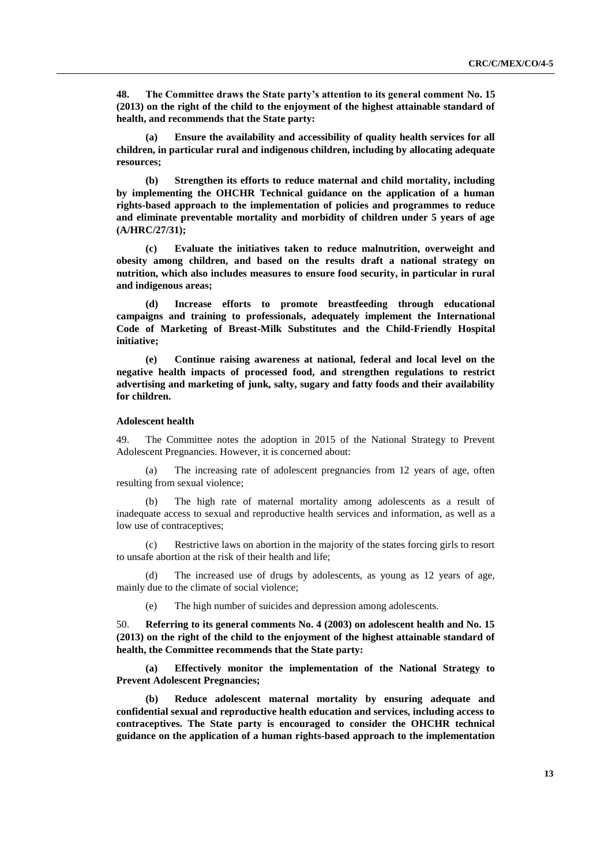**48. The Committee draws the State party's attention to its general comment No. 15 (2013) on the right of the child to the enjoyment of the highest attainable standard of health, and recommends that the State party:**

**(a) Ensure the availability and accessibility of quality health services for all children, in particular rural and indigenous children, including by allocating adequate resources;**

**(b) Strengthen its efforts to reduce maternal and child mortality, including by implementing the OHCHR Technical guidance on the application of a human rights-based approach to the implementation of policies and programmes to reduce and eliminate preventable mortality and morbidity of children under 5 years of age (A/HRC/27/31);**

**(c) Evaluate the initiatives taken to reduce malnutrition, overweight and obesity among children, and based on the results draft a national strategy on nutrition, which also includes measures to ensure food security, in particular in rural and indigenous areas;** 

**(d) Increase efforts to promote breastfeeding through educational campaigns and training to professionals, adequately implement the International Code of Marketing of Breast-Milk Substitutes and the Child-Friendly Hospital initiative;**

**(e) Continue raising awareness at national, federal and local level on the negative health impacts of processed food, and strengthen regulations to restrict advertising and marketing of junk, salty, sugary and fatty foods and their availability for children.**

#### **Adolescent health**

49. The Committee notes the adoption in 2015 of the National Strategy to Prevent Adolescent Pregnancies. However, it is concerned about:

(a) The increasing rate of adolescent pregnancies from 12 years of age, often resulting from sexual violence;

(b) The high rate of maternal mortality among adolescents as a result of inadequate access to sexual and reproductive health services and information, as well as a low use of contraceptives;

(c) Restrictive laws on abortion in the majority of the states forcing girls to resort to unsafe abortion at the risk of their health and life;

(d) The increased use of drugs by adolescents, as young as 12 years of age, mainly due to the climate of social violence;

(e) The high number of suicides and depression among adolescents.

50. **Referring to its general comments No. 4 (2003) on adolescent health and No. 15 (2013) on the right of the child to the enjoyment of the highest attainable standard of health, the Committee recommends that the State party:**

**(a) Effectively monitor the implementation of the National Strategy to Prevent Adolescent Pregnancies;** 

**(b) Reduce adolescent maternal mortality by ensuring adequate and confidential sexual and reproductive health education and services, including access to contraceptives. The State party is encouraged to consider the OHCHR technical guidance on the application of a human rights-based approach to the implementation**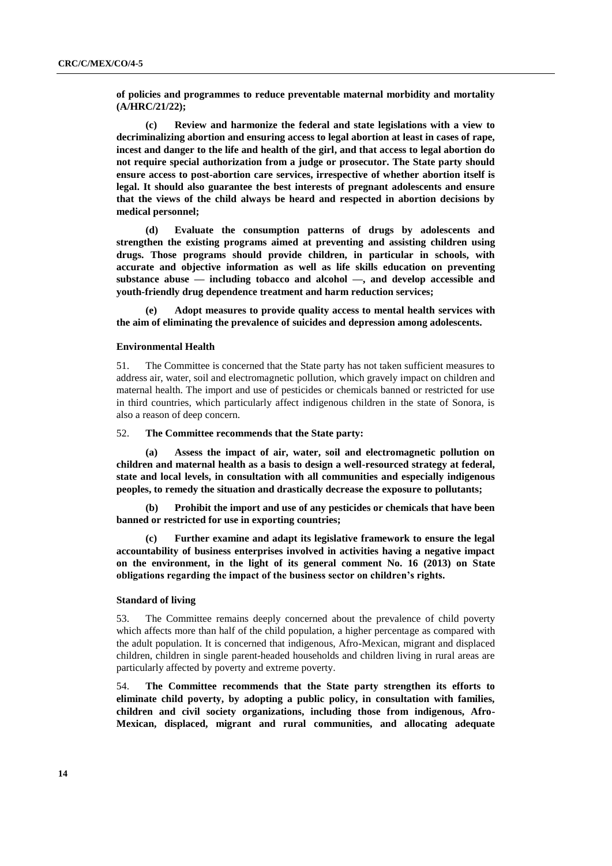**of policies and programmes to reduce preventable maternal morbidity and mortality (A/HRC/21/22);** 

**(c) Review and harmonize the federal and state legislations with a view to decriminalizing abortion and ensuring access to legal abortion at least in cases of rape, incest and danger to the life and health of the girl, and that access to legal abortion do not require special authorization from a judge or prosecutor. The State party should ensure access to post-abortion care services, irrespective of whether abortion itself is legal. It should also guarantee the best interests of pregnant adolescents and ensure that the views of the child always be heard and respected in abortion decisions by medical personnel;** 

**(d) Evaluate the consumption patterns of drugs by adolescents and strengthen the existing programs aimed at preventing and assisting children using drugs. Those programs should provide children, in particular in schools, with accurate and objective information as well as life skills education on preventing substance abuse — including tobacco and alcohol —, and develop accessible and youth-friendly drug dependence treatment and harm reduction services;**

**(e) Adopt measures to provide quality access to mental health services with the aim of eliminating the prevalence of suicides and depression among adolescents.** 

#### **Environmental Health**

51. The Committee is concerned that the State party has not taken sufficient measures to address air, water, soil and electromagnetic pollution, which gravely impact on children and maternal health. The import and use of pesticides or chemicals banned or restricted for use in third countries, which particularly affect indigenous children in the state of Sonora, is also a reason of deep concern.

## 52. **The Committee recommends that the State party:**

**(a) Assess the impact of air, water, soil and electromagnetic pollution on children and maternal health as a basis to design a well-resourced strategy at federal, state and local levels, in consultation with all communities and especially indigenous peoples, to remedy the situation and drastically decrease the exposure to pollutants;** 

**(b) Prohibit the import and use of any pesticides or chemicals that have been banned or restricted for use in exporting countries;**

**(c) Further examine and adapt its legislative framework to ensure the legal accountability of business enterprises involved in activities having a negative impact on the environment, in the light of its general comment No. 16 (2013) on State obligations regarding the impact of the business sector on children's rights.**

## **Standard of living**

53. The Committee remains deeply concerned about the prevalence of child poverty which affects more than half of the child population, a higher percentage as compared with the adult population. It is concerned that indigenous, Afro-Mexican, migrant and displaced children, children in single parent-headed households and children living in rural areas are particularly affected by poverty and extreme poverty.

54. **The Committee recommends that the State party strengthen its efforts to eliminate child poverty, by adopting a public policy, in consultation with families, children and civil society organizations, including those from indigenous, Afro-Mexican, displaced, migrant and rural communities, and allocating adequate**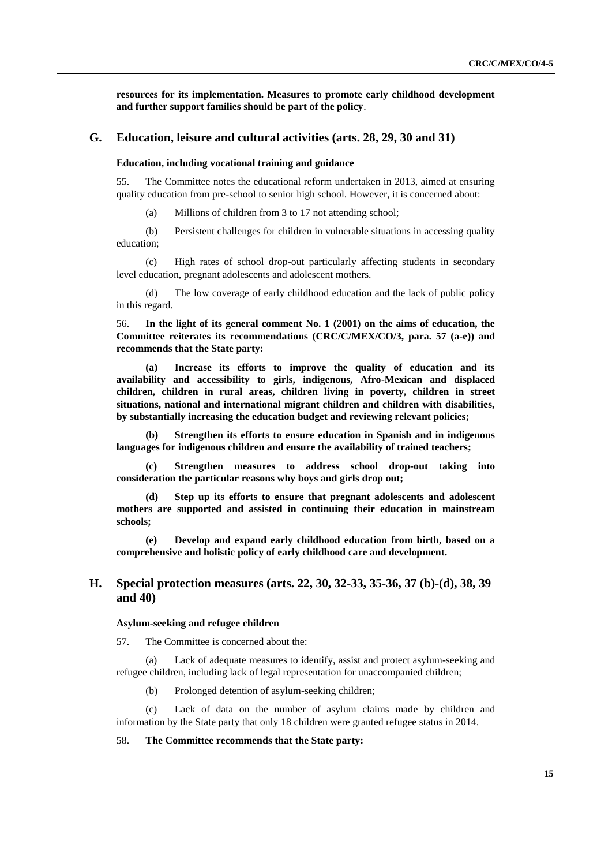**resources for its implementation. Measures to promote early childhood development and further support families should be part of the policy**.

## **G. Education, leisure and cultural activities (arts. 28, 29, 30 and 31)**

### **Education, including vocational training and guidance**

55. The Committee notes the educational reform undertaken in 2013, aimed at ensuring quality education from pre-school to senior high school. However, it is concerned about:

(a) Millions of children from 3 to 17 not attending school;

(b) Persistent challenges for children in vulnerable situations in accessing quality education;

(c) High rates of school drop-out particularly affecting students in secondary level education, pregnant adolescents and adolescent mothers.

(d) The low coverage of early childhood education and the lack of public policy in this regard.

56. **In the light of its general comment No. 1 (2001) on the aims of education, the Committee reiterates its recommendations (CRC/C/MEX/CO/3, para. 57 (a-e)) and recommends that the State party:** 

**(a) Increase its efforts to improve the quality of education and its availability and accessibility to girls, indigenous, Afro-Mexican and displaced children, children in rural areas, children living in poverty, children in street situations, national and international migrant children and children with disabilities, by substantially increasing the education budget and reviewing relevant policies;** 

**(b) Strengthen its efforts to ensure education in Spanish and in indigenous languages for indigenous children and ensure the availability of trained teachers;** 

**(c) Strengthen measures to address school drop-out taking into consideration the particular reasons why boys and girls drop out;**

**(d) Step up its efforts to ensure that pregnant adolescents and adolescent mothers are supported and assisted in continuing their education in mainstream schools;** 

**(e) Develop and expand early childhood education from birth, based on a comprehensive and holistic policy of early childhood care and development.**

## **H. Special protection measures (arts. 22, 30, 32-33, 35-36, 37 (b)-(d), 38, 39 and 40)**

#### **Asylum-seeking and refugee children**

57. The Committee is concerned about the:

(a) Lack of adequate measures to identify, assist and protect asylum-seeking and refugee children, including lack of legal representation for unaccompanied children;

(b) Prolonged detention of asylum-seeking children;

(c) Lack of data on the number of asylum claims made by children and information by the State party that only 18 children were granted refugee status in 2014.

### 58. **The Committee recommends that the State party:**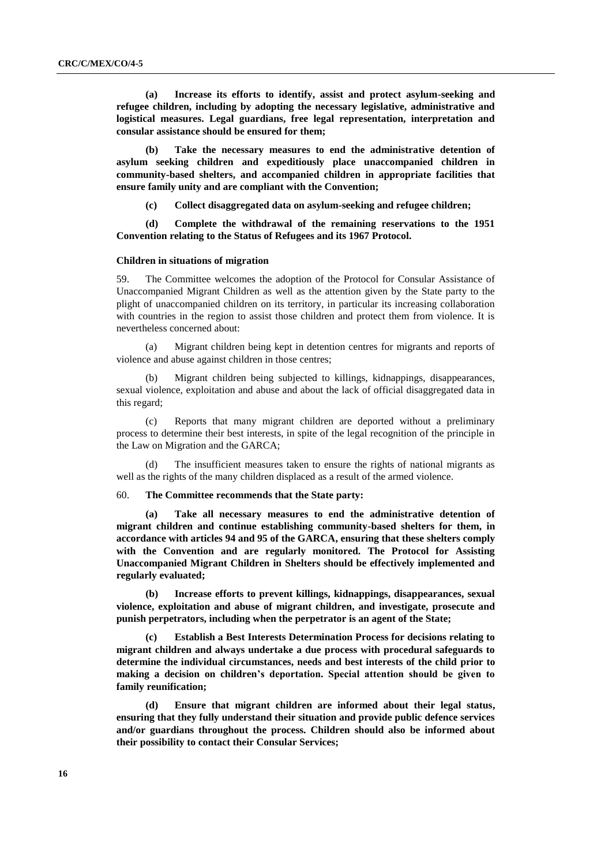**(a) Increase its efforts to identify, assist and protect asylum-seeking and refugee children, including by adopting the necessary legislative, administrative and logistical measures. Legal guardians, free legal representation, interpretation and consular assistance should be ensured for them;** 

**(b) Take the necessary measures to end the administrative detention of asylum seeking children and expeditiously place unaccompanied children in community-based shelters, and accompanied children in appropriate facilities that ensure family unity and are compliant with the Convention;** 

**(c) Collect disaggregated data on asylum-seeking and refugee children;** 

**(d) Complete the withdrawal of the remaining reservations to the 1951 Convention relating to the Status of Refugees and its 1967 Protocol.**

#### **Children in situations of migration**

59. The Committee welcomes the adoption of the Protocol for Consular Assistance of Unaccompanied Migrant Children as well as the attention given by the State party to the plight of unaccompanied children on its territory, in particular its increasing collaboration with countries in the region to assist those children and protect them from violence. It is nevertheless concerned about:

(a) Migrant children being kept in detention centres for migrants and reports of violence and abuse against children in those centres;

Migrant children being subjected to killings, kidnappings, disappearances, sexual violence, exploitation and abuse and about the lack of official disaggregated data in this regard;

(c) Reports that many migrant children are deported without a preliminary process to determine their best interests, in spite of the legal recognition of the principle in the Law on Migration and the GARCA;

(d) The insufficient measures taken to ensure the rights of national migrants as well as the rights of the many children displaced as a result of the armed violence.

#### 60. **The Committee recommends that the State party:**

**(a) Take all necessary measures to end the administrative detention of migrant children and continue establishing community-based shelters for them, in accordance with articles 94 and 95 of the GARCA, ensuring that these shelters comply with the Convention and are regularly monitored. The Protocol for Assisting Unaccompanied Migrant Children in Shelters should be effectively implemented and regularly evaluated;**

**(b) Increase efforts to prevent killings, kidnappings, disappearances, sexual violence, exploitation and abuse of migrant children, and investigate, prosecute and punish perpetrators, including when the perpetrator is an agent of the State;**

**(c) Establish a Best Interests Determination Process for decisions relating to migrant children and always undertake a due process with procedural safeguards to determine the individual circumstances, needs and best interests of the child prior to making a decision on children's deportation. Special attention should be given to family reunification;**

**(d) Ensure that migrant children are informed about their legal status, ensuring that they fully understand their situation and provide public defence services and/or guardians throughout the process. Children should also be informed about their possibility to contact their Consular Services;**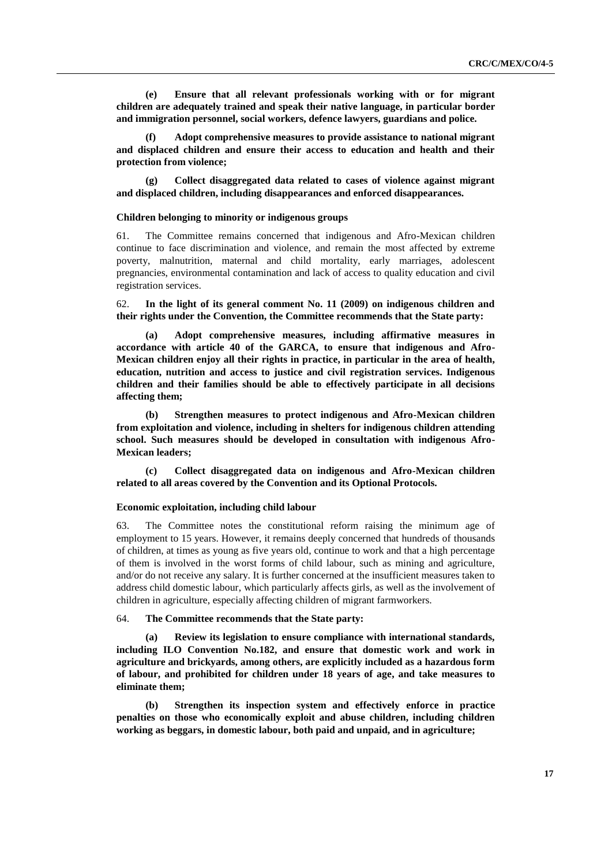**(e) Ensure that all relevant professionals working with or for migrant children are adequately trained and speak their native language, in particular border and immigration personnel, social workers, defence lawyers, guardians and police.** 

**(f) Adopt comprehensive measures to provide assistance to national migrant and displaced children and ensure their access to education and health and their protection from violence;**

**(g) Collect disaggregated data related to cases of violence against migrant and displaced children, including disappearances and enforced disappearances.**

#### **Children belonging to minority or indigenous groups**

61. The Committee remains concerned that indigenous and Afro-Mexican children continue to face discrimination and violence, and remain the most affected by extreme poverty, malnutrition, maternal and child mortality, early marriages, adolescent pregnancies, environmental contamination and lack of access to quality education and civil registration services.

62. **In the light of its general comment No. 11 (2009) on indigenous children and their rights under the Convention, the Committee recommends that the State party:** 

**(a) Adopt comprehensive measures, including affirmative measures in accordance with article 40 of the GARCA, to ensure that indigenous and Afro-Mexican children enjoy all their rights in practice, in particular in the area of health, education, nutrition and access to justice and civil registration services. Indigenous children and their families should be able to effectively participate in all decisions affecting them;**

**(b) Strengthen measures to protect indigenous and Afro-Mexican children from exploitation and violence, including in shelters for indigenous children attending school. Such measures should be developed in consultation with indigenous Afro-Mexican leaders;**

**(c) Collect disaggregated data on indigenous and Afro-Mexican children related to all areas covered by the Convention and its Optional Protocols.**

#### **Economic exploitation, including child labour**

63. The Committee notes the constitutional reform raising the minimum age of employment to 15 years. However, it remains deeply concerned that hundreds of thousands of children, at times as young as five years old, continue to work and that a high percentage of them is involved in the worst forms of child labour, such as mining and agriculture, and/or do not receive any salary. It is further concerned at the insufficient measures taken to address child domestic labour, which particularly affects girls, as well as the involvement of children in agriculture, especially affecting children of migrant farmworkers.

## 64. **The Committee recommends that the State party:**

**(a) Review its legislation to ensure compliance with international standards, including ILO Convention No.182, and ensure that domestic work and work in agriculture and brickyards, among others, are explicitly included as a hazardous form of labour, and prohibited for children under 18 years of age, and take measures to eliminate them;**

**(b) Strengthen its inspection system and effectively enforce in practice penalties on those who economically exploit and abuse children, including children working as beggars, in domestic labour, both paid and unpaid, and in agriculture;**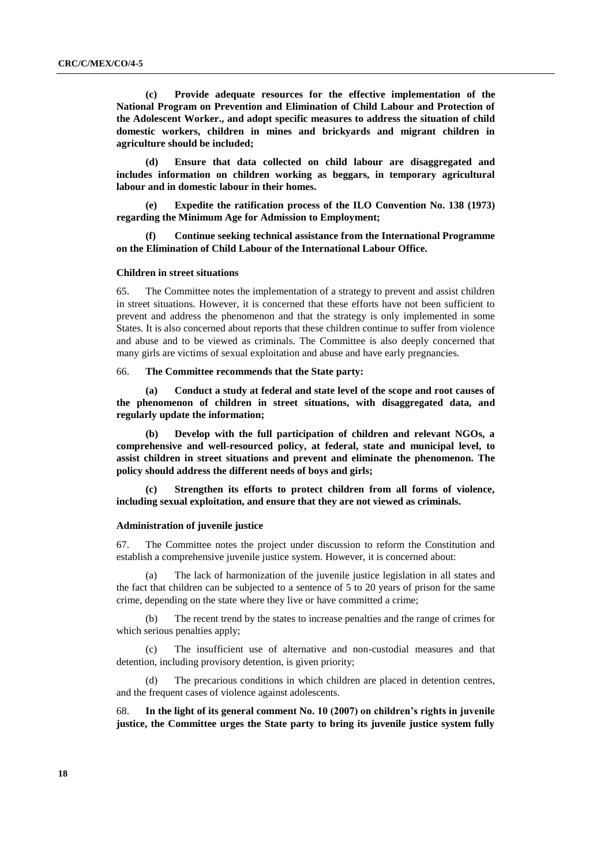**(c) Provide adequate resources for the effective implementation of the National Program on Prevention and Elimination of Child Labour and Protection of the Adolescent Worker., and adopt specific measures to address the situation of child domestic workers, children in mines and brickyards and migrant children in agriculture should be included;** 

**(d) Ensure that data collected on child labour are disaggregated and includes information on children working as beggars, in temporary agricultural labour and in domestic labour in their homes.** 

**(e) Expedite the ratification process of the ILO Convention No. 138 (1973) regarding the Minimum Age for Admission to Employment;**

**(f) Continue seeking technical assistance from the International Programme on the Elimination of Child Labour of the International Labour Office.**

#### **Children in street situations**

65. The Committee notes the implementation of a strategy to prevent and assist children in street situations. However, it is concerned that these efforts have not been sufficient to prevent and address the phenomenon and that the strategy is only implemented in some States. It is also concerned about reports that these children continue to suffer from violence and abuse and to be viewed as criminals. The Committee is also deeply concerned that many girls are victims of sexual exploitation and abuse and have early pregnancies.

66. **The Committee recommends that the State party:**

**(a) Conduct a study at federal and state level of the scope and root causes of the phenomenon of children in street situations, with disaggregated data, and regularly update the information;**

**(b) Develop with the full participation of children and relevant NGOs, a comprehensive and well-resourced policy, at federal, state and municipal level, to assist children in street situations and prevent and eliminate the phenomenon. The policy should address the different needs of boys and girls;**

**(c) Strengthen its efforts to protect children from all forms of violence, including sexual exploitation, and ensure that they are not viewed as criminals.**

### **Administration of juvenile justice**

67. The Committee notes the project under discussion to reform the Constitution and establish a comprehensive juvenile justice system. However, it is concerned about:

(a) The lack of harmonization of the juvenile justice legislation in all states and the fact that children can be subjected to a sentence of 5 to 20 years of prison for the same crime, depending on the state where they live or have committed a crime;

(b) The recent trend by the states to increase penalties and the range of crimes for which serious penalties apply;

(c) The insufficient use of alternative and non-custodial measures and that detention, including provisory detention, is given priority;

The precarious conditions in which children are placed in detention centres, and the frequent cases of violence against adolescents.

68. **In the light of its general comment No. 10 (2007) on children's rights in juvenile justice, the Committee urges the State party to bring its juvenile justice system fully**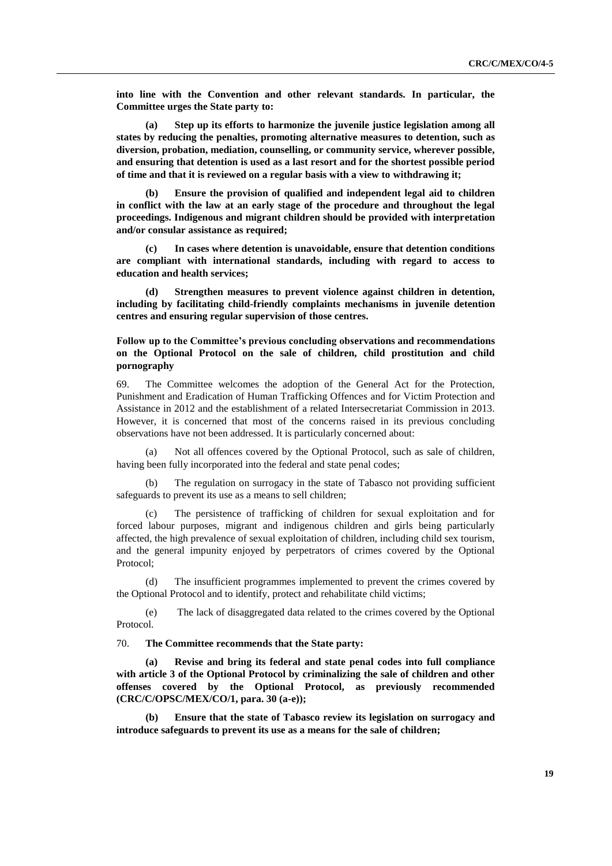**into line with the Convention and other relevant standards. In particular, the Committee urges the State party to:**

**(a) Step up its efforts to harmonize the juvenile justice legislation among all states by reducing the penalties, promoting alternative measures to detention, such as diversion, probation, mediation, counselling, or community service, wherever possible, and ensuring that detention is used as a last resort and for the shortest possible period of time and that it is reviewed on a regular basis with a view to withdrawing it;** 

**(b) Ensure the provision of qualified and independent legal aid to children in conflict with the law at an early stage of the procedure and throughout the legal proceedings. Indigenous and migrant children should be provided with interpretation and/or consular assistance as required;**

**(c) In cases where detention is unavoidable, ensure that detention conditions are compliant with international standards, including with regard to access to education and health services;** 

**(d) Strengthen measures to prevent violence against children in detention, including by facilitating child-friendly complaints mechanisms in juvenile detention centres and ensuring regular supervision of those centres.**

## **Follow up to the Committee's previous concluding observations and recommendations on the Optional Protocol on the sale of children, child prostitution and child pornography**

69. The Committee welcomes the adoption of the General Act for the Protection, Punishment and Eradication of Human Trafficking Offences and for Victim Protection and Assistance in 2012 and the establishment of a related Intersecretariat Commission in 2013. However, it is concerned that most of the concerns raised in its previous concluding observations have not been addressed. It is particularly concerned about:

(a) Not all offences covered by the Optional Protocol, such as sale of children, having been fully incorporated into the federal and state penal codes;

The regulation on surrogacy in the state of Tabasco not providing sufficient safeguards to prevent its use as a means to sell children;

(c) The persistence of trafficking of children for sexual exploitation and for forced labour purposes, migrant and indigenous children and girls being particularly affected, the high prevalence of sexual exploitation of children, including child sex tourism, and the general impunity enjoyed by perpetrators of crimes covered by the Optional Protocol;

(d) The insufficient programmes implemented to prevent the crimes covered by the Optional Protocol and to identify, protect and rehabilitate child victims;

(e) The lack of disaggregated data related to the crimes covered by the Optional Protocol.

70. **The Committee recommends that the State party:** 

**(a) Revise and bring its federal and state penal codes into full compliance with article 3 of the Optional Protocol by criminalizing the sale of children and other offenses covered by the Optional Protocol, as previously recommended (CRC/C/OPSC/MEX/CO/1, para. 30 (a-e));**

**(b) Ensure that the state of Tabasco review its legislation on surrogacy and introduce safeguards to prevent its use as a means for the sale of children;**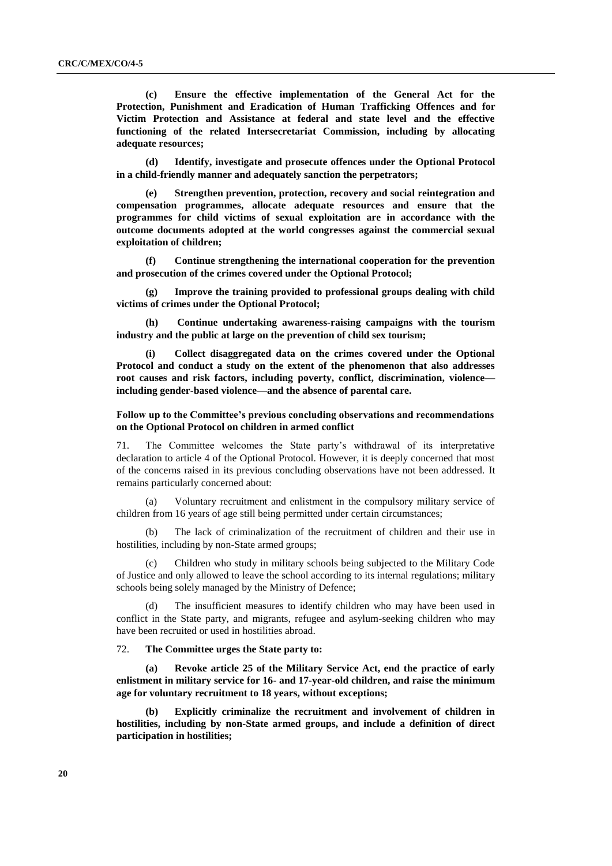**(c) Ensure the effective implementation of the General Act for the Protection, Punishment and Eradication of Human Trafficking Offences and for Victim Protection and Assistance at federal and state level and the effective functioning of the related Intersecretariat Commission, including by allocating adequate resources;** 

**(d) Identify, investigate and prosecute offences under the Optional Protocol in a child-friendly manner and adequately sanction the perpetrators;**

**(e) Strengthen prevention, protection, recovery and social reintegration and compensation programmes, allocate adequate resources and ensure that the programmes for child victims of sexual exploitation are in accordance with the outcome documents adopted at the world congresses against the commercial sexual exploitation of children;** 

**(f) Continue strengthening the international cooperation for the prevention and prosecution of the crimes covered under the Optional Protocol;**

**(g) Improve the training provided to professional groups dealing with child victims of crimes under the Optional Protocol;** 

**(h) Continue undertaking awareness-raising campaigns with the tourism industry and the public at large on the prevention of child sex tourism;** 

**(i) Collect disaggregated data on the crimes covered under the Optional Protocol and conduct a study on the extent of the phenomenon that also addresses root causes and risk factors, including poverty, conflict, discrimination, violence including gender-based violence—and the absence of parental care.**

## **Follow up to the Committee's previous concluding observations and recommendations on the Optional Protocol on children in armed conflict**

71. The Committee welcomes the State party's withdrawal of its interpretative declaration to article 4 of the Optional Protocol. However, it is deeply concerned that most of the concerns raised in its previous concluding observations have not been addressed. It remains particularly concerned about:

(a) Voluntary recruitment and enlistment in the compulsory military service of children from 16 years of age still being permitted under certain circumstances;

(b) The lack of criminalization of the recruitment of children and their use in hostilities, including by non-State armed groups;

(c) Children who study in military schools being subjected to the Military Code of Justice and only allowed to leave the school according to its internal regulations; military schools being solely managed by the Ministry of Defence;

(d) The insufficient measures to identify children who may have been used in conflict in the State party, and migrants, refugee and asylum-seeking children who may have been recruited or used in hostilities abroad.

#### 72. **The Committee urges the State party to:**

**(a) Revoke article 25 of the Military Service Act, end the practice of early enlistment in military service for 16- and 17-year-old children, and raise the minimum age for voluntary recruitment to 18 years, without exceptions;**

**(b) Explicitly criminalize the recruitment and involvement of children in hostilities, including by non-State armed groups, and include a definition of direct participation in hostilities;**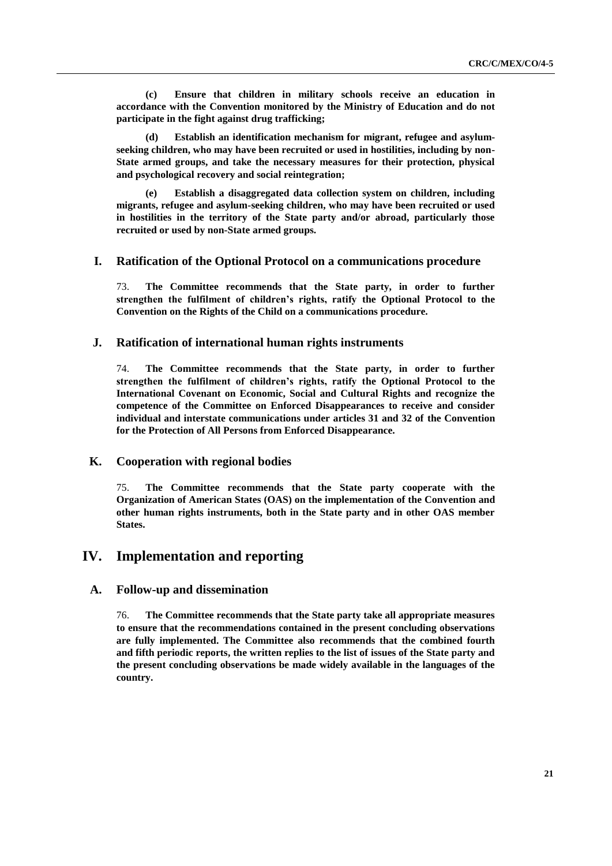**(c) Ensure that children in military schools receive an education in accordance with the Convention monitored by the Ministry of Education and do not participate in the fight against drug trafficking;** 

Establish an identification mechanism for migrant, refugee and asylum**seeking children, who may have been recruited or used in hostilities, including by non-State armed groups, and take the necessary measures for their protection, physical and psychological recovery and social reintegration;**

**(e) Establish a disaggregated data collection system on children, including migrants, refugee and asylum-seeking children, who may have been recruited or used in hostilities in the territory of the State party and/or abroad, particularly those recruited or used by non-State armed groups.**

## **I. Ratification of the Optional Protocol on a communications procedure**

73. **The Committee recommends that the State party, in order to further strengthen the fulfilment of children's rights, ratify the Optional Protocol to the Convention on the Rights of the Child on a communications procedure.** 

## **J. Ratification of international human rights instruments**

74. **The Committee recommends that the State party, in order to further strengthen the fulfilment of children's rights, ratify the Optional Protocol to the International Covenant on Economic, Social and Cultural Rights and recognize the competence of the Committee on Enforced Disappearances to receive and consider individual and interstate communications under articles 31 and 32 of the Convention for the Protection of All Persons from Enforced Disappearance.**

## **K. Cooperation with regional bodies**

75. **The Committee recommends that the State party cooperate with the Organization of American States (OAS) on the implementation of the Convention and other human rights instruments, both in the State party and in other OAS member States.** 

## **IV. Implementation and reporting**

## **A. Follow-up and dissemination**

76. **The Committee recommends that the State party take all appropriate measures to ensure that the recommendations contained in the present concluding observations are fully implemented. The Committee also recommends that the combined fourth and fifth periodic reports, the written replies to the list of issues of the State party and the present concluding observations be made widely available in the languages of the country.**